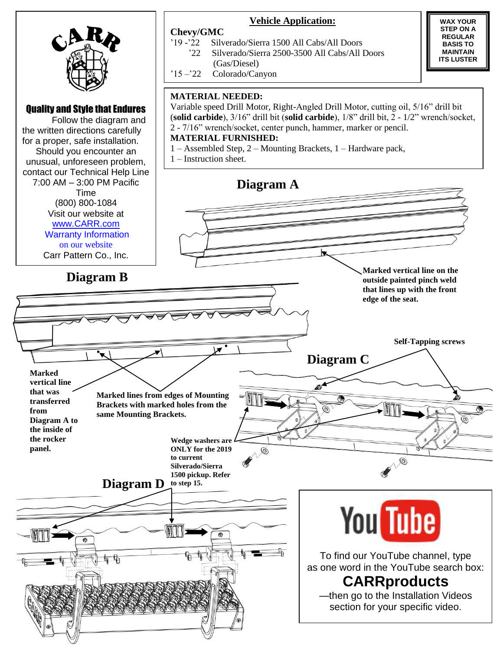